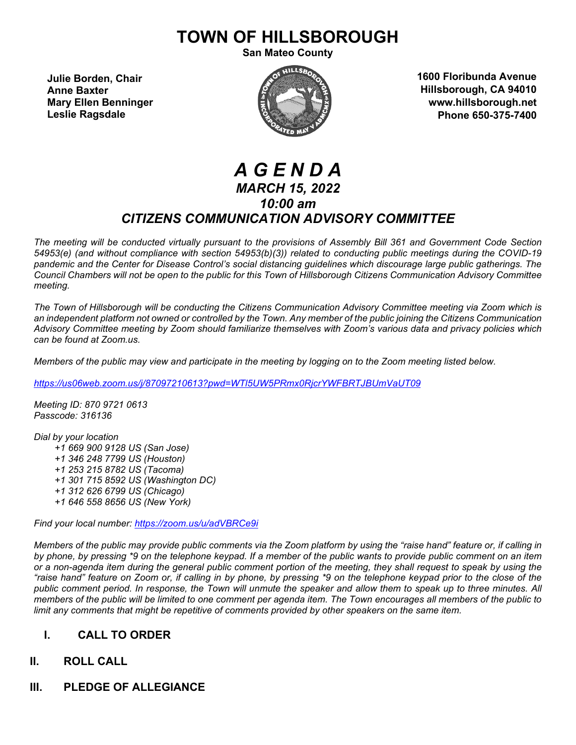# **TOWN OF HILLSBOROUGH**

**San Mateo County**

**Julie Borden, Chair Anne Baxter Mary Ellen Benninger Leslie Ragsdale**



**1600 Floribunda Avenue Hillsborough, CA 94010 www.hillsborough.net Phone 650-375-7400**

## *A G E N D A MARCH 15, 2022 10:00 am CITIZENS COMMUNICATION ADVISORY COMMITTEE*

*The meeting will be conducted virtually pursuant to the provisions of Assembly Bill 361 and Government Code Section 54953(e) (and without compliance with section 54953(b)(3)) related to conducting public meetings during the COVID-19 pandemic and the Center for Disease Control's social distancing guidelines which discourage large public gatherings. The Council Chambers will not be open to the public for this Town of Hillsborough Citizens Communication Advisory Committee meeting.*

*The Town of Hillsborough will be conducting the Citizens Communication Advisory Committee meeting via Zoom which is an independent platform not owned or controlled by the Town. Any member of the public joining the Citizens Communication Advisory Committee meeting by Zoom should familiarize themselves with Zoom's various data and privacy policies which can be found at Zoom.us.*

*Members of the public may view and participate in the meeting by logging on to the Zoom meeting listed below.* 

*<https://us06web.zoom.us/j/87097210613?pwd=WTl5UW5PRmx0RjcrYWFBRTJBUmVaUT09>*

*Meeting ID: 870 9721 0613 Passcode: 316136*

*Dial by your location +1 669 900 9128 US (San Jose) +1 346 248 7799 US (Houston) +1 253 215 8782 US (Tacoma) +1 301 715 8592 US (Washington DC) +1 312 626 6799 US (Chicago) +1 646 558 8656 US (New York)*

*Find your local number:<https://zoom.us/u/adVBRCe9i>*

*Members of the public may provide public comments via the Zoom platform by using the "raise hand" feature or, if calling in by phone, by pressing \*9 on the telephone keypad. If a member of the public wants to provide public comment on an item or a non-agenda item during the general public comment portion of the meeting, they shall request to speak by using the "raise hand" feature on Zoom or, if calling in by phone, by pressing \*9 on the telephone keypad prior to the close of the public comment period. In response, the Town will unmute the speaker and allow them to speak up to three minutes. All members of the public will be limited to one comment per agenda item. The Town encourages all members of the public to limit any comments that might be repetitive of comments provided by other speakers on the same item.*

## **I. CALL TO ORDER**

## **II. ROLL CALL**

**III. PLEDGE OF ALLEGIANCE**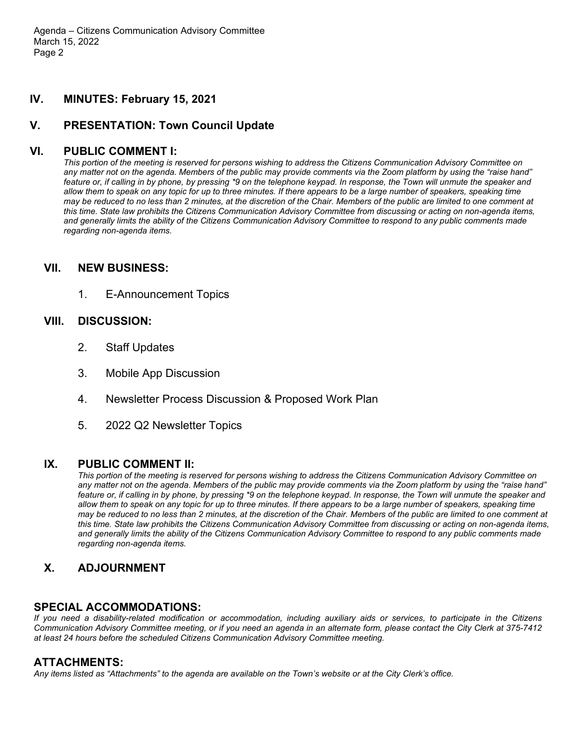Agenda – Citizens Communication Advisory Committee March 15, 2022 Page 2

## **IV. MINUTES: February 15, 2021**

## **V. PRESENTATION: Town Council Update**

#### **VI. PUBLIC COMMENT I:**

*This portion of the meeting is reserved for persons wishing to address the Citizens Communication Advisory Committee on any matter not on the agenda. Members of the public may provide comments via the Zoom platform by using the "raise hand" feature or, if calling in by phone, by pressing \*9 on the telephone keypad. In response, the Town will unmute the speaker and allow them to speak on any topic for up to three minutes. If there appears to be a large number of speakers, speaking time may be reduced to no less than 2 minutes, at the discretion of the Chair. Members of the public are limited to one comment at this time. State law prohibits the Citizens Communication Advisory Committee from discussing or acting on non-agenda items, and generally limits the ability of the Citizens Communication Advisory Committee to respond to any public comments made regarding non-agenda items.*

#### **VII. NEW BUSINESS:**

1. E-Announcement Topics

#### **VIII. DISCUSSION:**

- 2. Staff Updates
- 3. Mobile App Discussion
- 4. Newsletter Process Discussion & Proposed Work Plan
- 5. 2022 Q2 Newsletter Topics

#### **IX. PUBLIC COMMENT II:**

*This portion of the meeting is reserved for persons wishing to address the Citizens Communication Advisory Committee on any matter not on the agenda. Members of the public may provide comments via the Zoom platform by using the "raise hand" feature or, if calling in by phone, by pressing \*9 on the telephone keypad. In response, the Town will unmute the speaker and allow them to speak on any topic for up to three minutes. If there appears to be a large number of speakers, speaking time may be reduced to no less than 2 minutes, at the discretion of the Chair. Members of the public are limited to one comment at this time. State law prohibits the Citizens Communication Advisory Committee from discussing or acting on non-agenda items, and generally limits the ability of the Citizens Communication Advisory Committee to respond to any public comments made regarding non-agenda items.*

## **X. ADJOURNMENT**

### **SPECIAL ACCOMMODATIONS:**

*If you need a disability-related modification or accommodation, including auxiliary aids or services, to participate in the Citizens Communication Advisory Committee meeting, or if you need an agenda in an alternate form, please contact the City Clerk at 375-7412 at least 24 hours before the scheduled Citizens Communication Advisory Committee meeting.*

## **ATTACHMENTS:**

*Any items listed as "Attachments" to the agenda are available on the Town's website or at the City Clerk's office.*